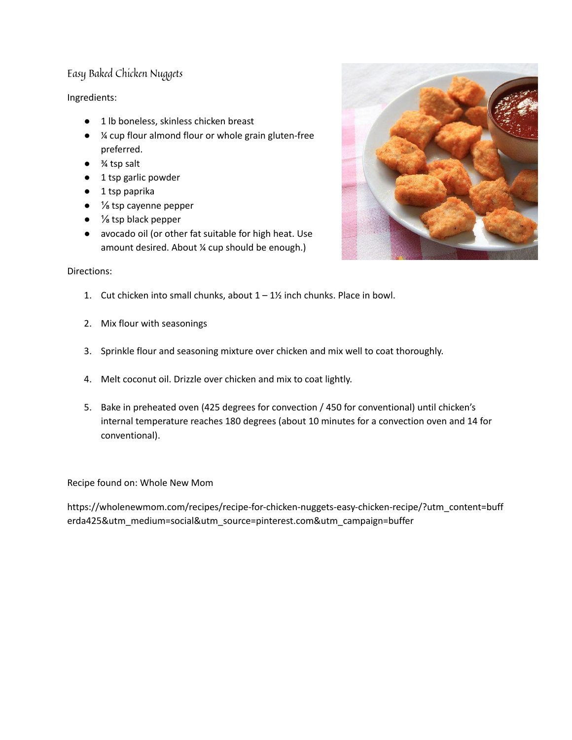# Easy Baked Chicken Nuggets

# Ingredients:

- 1 lb boneless, skinless chicken breast
- ¼ cup flour [almond](https://www.amazon.com/gp/product/B0006ZN538/ref=as_li_tl?ie=UTF8&camp=1789&creative=390957&creativeASIN=B0006ZN538&linkCode=as2&tag=whnemo-20&linkId=MFOLQDHFXG6CWEK5) flour or whole grain gluten-free preferred.
- ¾ tsp salt
- 1 tsp garlic powder
- 1 tsp paprika
- <sup>1</sup>/<sub>8</sub> tsp [cayenne](https://www.amazon.com/gp/product/B0019I2FP0/ref=as_li_tl?ie=UTF8&camp=1789&creative=390957&creativeASIN=B0019I2FP0&linkCode=as2&tag=whnemo-20&linkId=TK3RJKELDNZ73HQV%22) pepper
- $\bullet$  % tsp black pepper
- [avocado](https://www.amazon.com/Chosen-Foods-Hand-crafted-Avocado-33-8-oz/dp/B00RBTKRA6?tag=whnemo-20) oil (or other fat suitable for high heat. Use amount desired. About ¼ cup should be enough.)

### Directions:

- 1. Cut chicken into small chunks, about  $1 1$ <sup>%</sup> inch chunks. Place in bowl.
- 2. Mix flour with seasonings
- 3. Sprinkle flour and seasoning mixture over chicken and mix well to coat thoroughly.
- 4. Melt coconut oil. Drizzle over chicken and mix to coat lightly.
- 5. Bake in preheated oven (425 degrees for convection / 450 for conventional) until chicken's internal temperature reaches 180 degrees (about 10 minutes for a convection oven and 14 for conventional).

Recipe found on: Whole New Mom

https://wholenewmom.com/recipes/recipe-for-chicken-nuggets-easy-chicken-recipe/?utm\_content=buff erda425&utm\_medium=social&utm\_source=pinterest.com&utm\_campaign=buffer

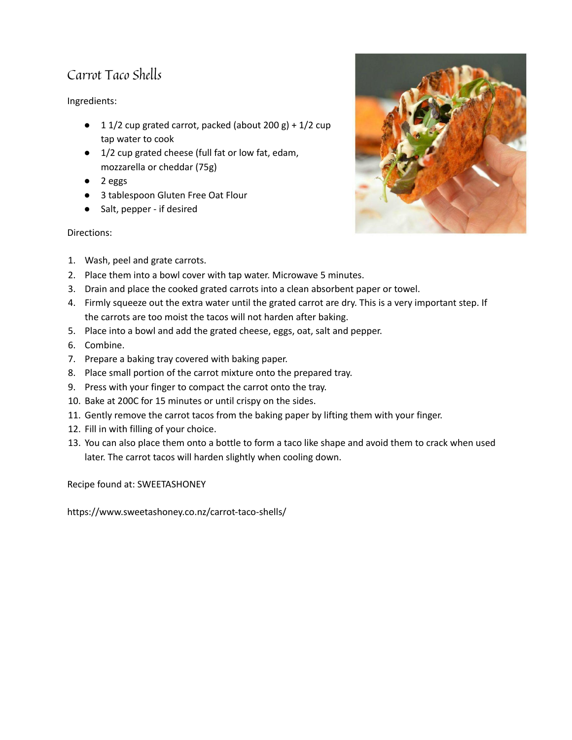# Carrot Taco Shells

Ingredients:

- $\bullet$  1 1/2 cup grated carrot, packed (about 200 g) + 1/2 cup tap water to cook
- 1/2 cup grated cheese (full fat or low fat, edam, mozzarella or cheddar (75g)
- 2 eggs
- 3 tablespoon [Gluten](http://www.amazon.com/gp/product/B00MFC5MVI/ref=as_li_tl?ie=UTF8&camp=1789&creative=9325&creativeASIN=B00MFC5MVI&linkCode=as2&tag=sweetashoney-20&linkId=VMAK5T6CC7DYAFXF) Free Oat Flour
- Salt, pepper if desired

# Directions:

- 1. Wash, peel and grate carrots.
- 2. Place them into a bowl cover with tap water. Microwave 5 minutes.
- 3. Drain and place the cooked grated carrots into a clean absorbent paper or towel.
- 4. Firmly squeeze out the extra water until the grated carrot are dry. This is a very important step. If the carrots are too moist the tacos will not harden after baking.
- 5. Place into a bowl and add the grated cheese, eggs, oat, salt and pepper.
- 6. Combine.
- 7. Prepare a baking tray covered with baking paper.
- 8. Place small portion of the carrot mixture onto the prepared tray.
- 9. Press with your finger to compact the carrot onto the tray.
- 10. Bake at 200C for 15 minutes or until crispy on the sides.
- 11. Gently remove the carrot tacos from the baking paper by lifting them with your finger.
- 12. Fill in with filling of your choice.
- 13. You can also place them onto a bottle to form a taco like shape and avoid them to crack when used later. The carrot tacos will harden slightly when cooling down.

Recipe found at: SWEETASHONEY

https://www.sweetashoney.co.nz/carrot-taco-shells/

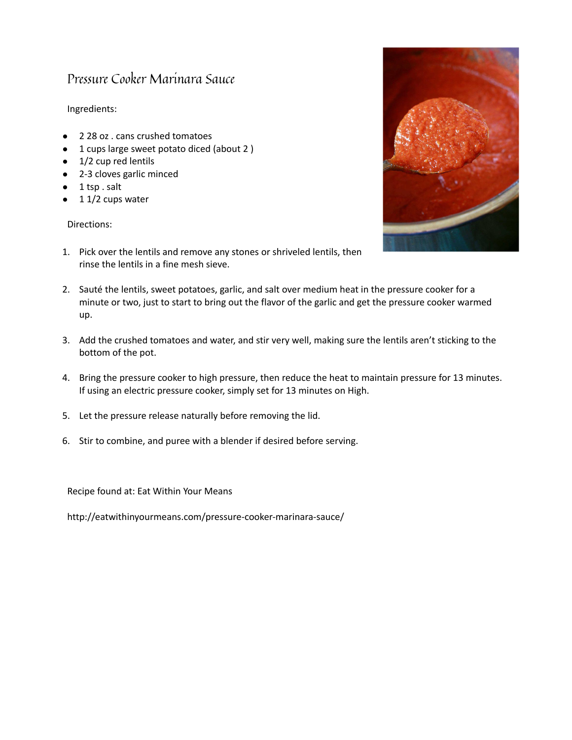# Pressure Cooker Marinara Sauce

### Ingredients:

- 2 28 oz . cans crushed tomatoes
- 1 cups large sweet potato diced (about 2 )
- 1/2 cup red lentils
- 2-3 cloves garlic minced
- $\bullet$  1 tsp. salt
- $11/2$  cups water

#### Directions:



- 1. Pick over the lentils and remove any stones or shriveled lentils, then rinse the lentils in a fine mesh sieve.
- 2. Sauté the lentils, sweet potatoes, garlic, and salt over medium heat in the [pressure](http://eatwithinyourmeans.com/instantpot) cooker for a minute or two, just to start to bring out the flavor of the garlic and get the pressure cooker warmed up.
- 3. Add the crushed tomatoes and water, and stir very well, making sure the lentils aren't sticking to the bottom of the pot.
- 4. Bring the pressure cooker to high pressure, then reduce the heat to maintain pressure for 13 minutes. If using an electric pressure cooker, simply set for 13 minutes on High.
- 5. Let the pressure release naturally before removing the lid.
- 6. Stir to combine, and puree with a blender if desired before serving.

Recipe found at: Eat Within Your Means

http://eatwithinyourmeans.com/pressure-cooker-marinara-sauce/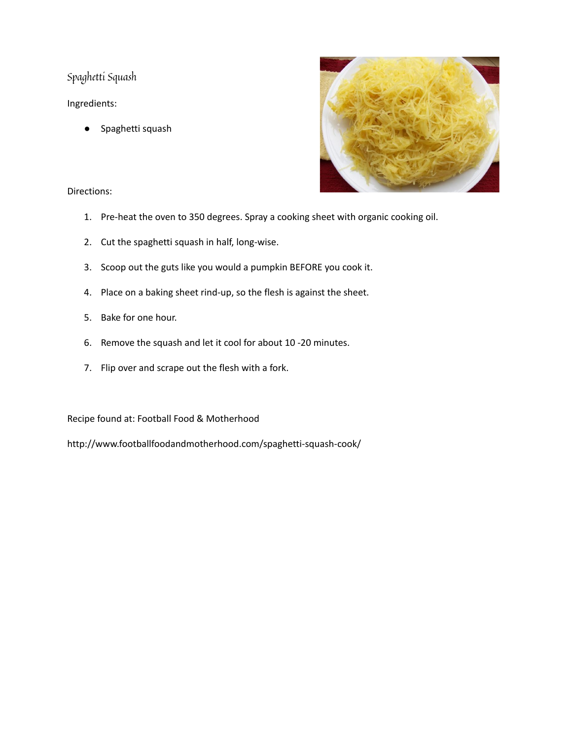Spaghetti Squash

Ingredients:

● Spaghetti squash



Directions:

- 1. Pre-heat the oven to 350 degrees. Spray a cooking sheet with organic cooking oil.
- 2. Cut the spaghetti squash in half, long-wise.
- 3. Scoop out the guts like you would a pumpkin BEFORE you cook it.
- 4. Place on a baking sheet rind-up, so the flesh is against the sheet.
- 5. Bake for one hour.
- 6. Remove the squash and let it cool for about 10 -20 minutes.
- 7. Flip over and scrape out the flesh with a fork.

Recipe found at: Football Food & Motherhood

http://www.footballfoodandmotherhood.com/spaghetti-squash-cook/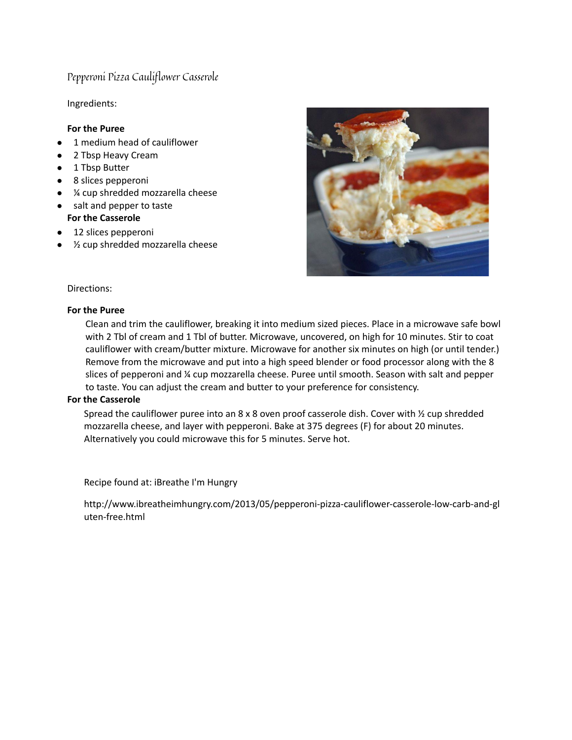# Pepperoni Pizza Cauliflower Casserole

Ingredients:

#### **For the Puree**

- 1 medium head of cauliflower
- 2 Tbsp Heavy Cream
- 1 Tbsp Butter
- 8 slices pepperoni
- ¼ cup shredded mozzarella cheese
- salt and pepper to taste **For the Casserole**
- 12 slices pepperoni
- ½ cup shredded mozzarella cheese



#### Directions:

#### **For the Puree**

Clean and trim the cauliflower, breaking it into medium sized pieces. Place in a microwave safe bowl with 2 Tbl of cream and 1 Tbl of butter. Microwave, uncovered, on high for 10 minutes. Stir to coat cauliflower with cream/butter mixture. Microwave for another six minutes on high (or until tender.) Remove from the microwave and put into a high speed blender or food processor along with the 8 slices of pepperoni and ¼ cup mozzarella cheese. Puree until smooth. Season with salt and pepper to taste. You can adjust the cream and butter to your preference for consistency.

#### **For the Casserole**

Spread the cauliflower puree into an 8 x 8 oven proof casserole dish. Cover with ½ cup shredded mozzarella cheese, and layer with pepperoni. Bake at 375 degrees (F) for about 20 minutes. Alternatively you could microwave this for 5 minutes. Serve hot.

Recipe found at: iBreathe I'm Hungry

http://www.ibreatheimhungry.com/2013/05/pepperoni-pizza-cauliflower-casserole-low-carb-and-gl uten-free.html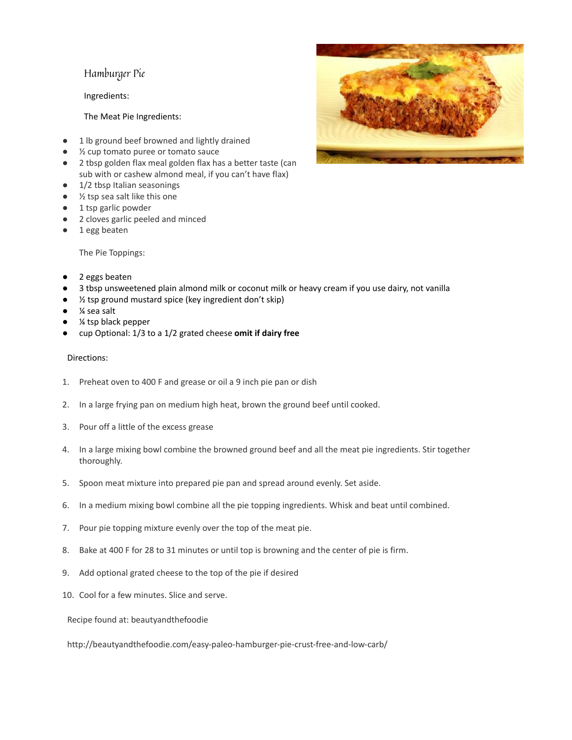# Hamburger Pie

Ingredients:

#### The Meat Pie Ingredients:

- 1 lb ground beef browned and lightly drained
- ½ cup tomato puree or tomato sauce
- 2 tbsp golden flax meal golden flax has a better taste (can sub with or cashew almond meal, if you can't have flax)
- 1/2 tbsp Italian seasonings
- $\frac{1}{2}$  tsp sea salt like this one
- 1 tsp garlic powder
- 2 cloves garlic peeled and minced
- 1 egg beaten

The Pie Toppings:

- 2 eggs beaten
- 3 tbsp unsweetened plain almond milk or coconut milk or heavy cream if you use dairy, not vanilla
- $\frac{1}{2}$  tsp ground mustard spice (key ingredient don't skip)
- $%$  sea salt
- % tsp black pepper
- cup Optional: 1/3 to a 1/2 grated cheese **omit if dairy free**

#### Directions:

- 1. Preheat oven to 400 F and grease or oil a 9 inch pie pan or dish
- 2. In a large frying pan on medium high heat, brown the ground beef until cooked.
- 3. Pour off a little of the excess grease
- 4. In a large mixing bowl combine the browned ground beef and all the meat pie ingredients. Stir together thoroughly.
- 5. Spoon meat mixture into prepared pie pan and spread around evenly. Set aside.
- 6. In a medium mixing bowl combine all the pie topping ingredients. Whisk and beat until combined.
- 7. Pour pie topping mixture evenly over the top of the meat pie.
- 8. Bake at 400 F for 28 to 31 minutes or until top is browning and the center of pie is firm.
- 9. Add optional grated cheese to the top of the pie if desired
- 10. Cool for a few minutes. Slice and serve.

Recipe found at: beautyandthefoodie

http://beautyandthefoodie.com/easy-paleo-hamburger-pie-crust-free-and-low-carb/

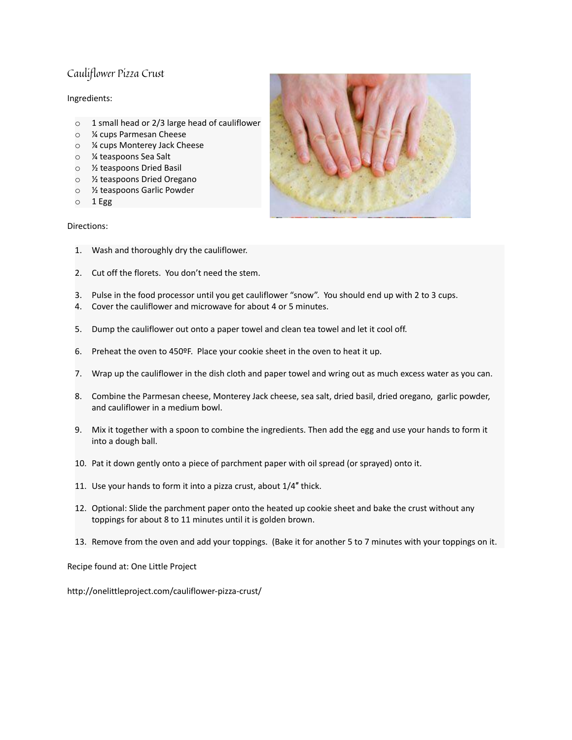# Cauliflower Pizza Crust

#### Ingredients:

- o 1 small head or 2/3 large head of cauliflower
- o ¼ cups Parmesan Cheese
- o ¼ cups Monterey Jack Cheese
- o ¼ teaspoons Sea Salt
- o ½ teaspoons Dried Basil
- o ½ teaspoons Dried Oregano
- o ½ teaspoons Garlic Powder
- $\circ$  1 Egg

#### Directions:



- 1. Wash and thoroughly dry the cauliflower.
- 2. Cut off the florets. You don't need the stem.
- 3. Pulse in the food processor until you get cauliflower "snow". You should end up with 2 to 3 cups.
- 4. Cover the cauliflower and microwave for about 4 or 5 minutes.
- 5. Dump the cauliflower out onto a paper towel and clean tea towel and let it cool off.
- 6. Preheat the oven to 450ºF. Place your cookie sheet in the oven to heat it up.
- 7. Wrap up the cauliflower in the dish cloth and paper towel and wring out as much excess water as you can.
- 8. Combine the Parmesan cheese, Monterey Jack cheese, sea salt, dried basil, dried oregano, garlic powder, and cauliflower in a medium bowl.
- 9. Mix it together with a spoon to combine the ingredients. Then add the egg and use your hands to form it into a dough ball.
- 10. Pat it down gently onto a piece of parchment paper with oil spread (or sprayed) onto it.
- 11. Use your hands to form it into a pizza crust, about 1/4″ thick.
- 12. Optional: Slide the parchment paper onto the heated up cookie sheet and bake the crust without any toppings for about 8 to 11 minutes until it is golden brown.
- 13. Remove from the oven and add your toppings. (Bake it for another 5 to 7 minutes with your toppings on it.

Recipe found at: One Little Project

http://onelittleproject.com/cauliflower-pizza-crust/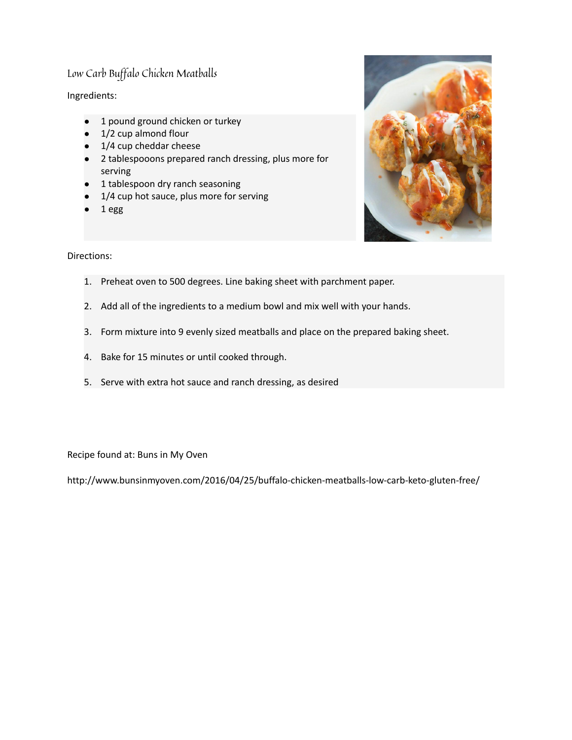# Low Carb Buffalo Chicken Meatballs

Ingredients:

- 1 pound ground chicken or turkey
- 1/2 cup almond flour
- 1/4 cup cheddar cheese
- 2 tablespooons prepared ranch dressing, plus more for serving
- 1 tablespoon dry ranch seasoning
- 1/4 cup hot sauce, plus more for serving
- 1 egg



Directions:

- 1. Preheat oven to 500 degrees. Line baking sheet with parchment paper.
- 2. Add all of the ingredients to a medium bowl and mix well with your hands.
- 3. Form mixture into 9 evenly sized meatballs and place on the prepared baking sheet.
- 4. Bake for 15 minutes or until cooked through.
- 5. Serve with extra hot sauce and ranch dressing, as desired

Recipe found at: Buns in My Oven

http://www.bunsinmyoven.com/2016/04/25/buffalo-chicken-meatballs-low-carb-keto-gluten-free/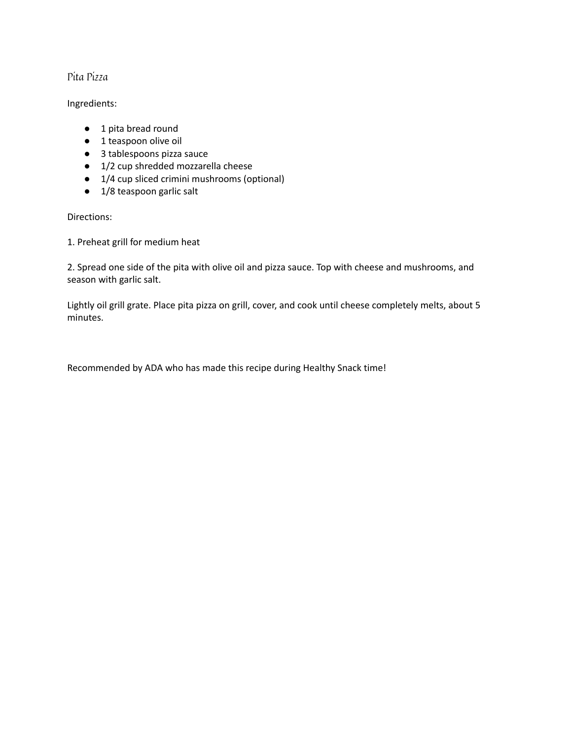# Pita Pizza

### Ingredients:

- 1 pita bread round
- 1 teaspoon olive oil
- 3 tablespoons pizza sauce
- 1/2 cup shredded mozzarella cheese
- 1/4 cup sliced crimini mushrooms (optional)
- 1/8 teaspoon garlic salt

Directions:

1. Preheat grill for medium heat

2. Spread one side of the pita with olive oil and pizza sauce. Top with cheese and mushrooms, and season with garlic salt.

Lightly oil grill grate. Place pita pizza on grill, cover, and cook until cheese completely melts, about 5 minutes.

Recommended by ADA who has made this recipe during Healthy Snack time!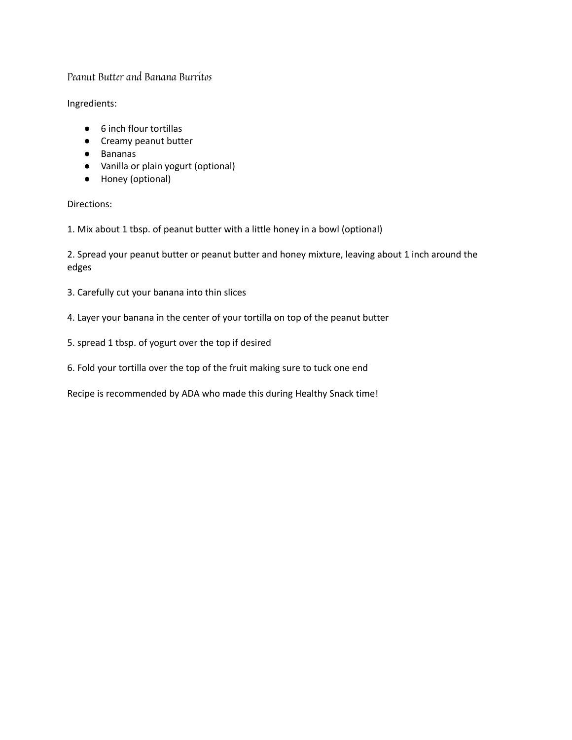### Peanut Butter and Banana Burritos

Ingredients:

- 6 inch flour tortillas
- Creamy peanut butter
- Bananas
- Vanilla or plain yogurt (optional)
- Honey (optional)

Directions:

1. Mix about 1 tbsp. of peanut butter with a little honey in a bowl (optional)

2. Spread your peanut butter or peanut butter and honey mixture, leaving about 1 inch around the edges

- 3. Carefully cut your banana into thin slices
- 4. Layer your banana in the center of your tortilla on top of the peanut butter
- 5. spread 1 tbsp. of yogurt over the top if desired
- 6. Fold your tortilla over the top of the fruit making sure to tuck one end

Recipe is recommended by ADA who made this during Healthy Snack time!